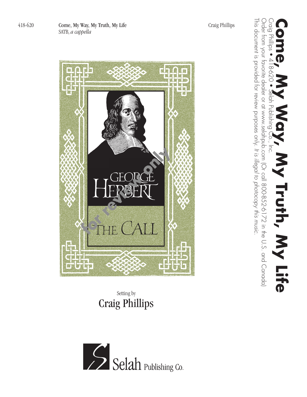418-620 Come, My Way, My Truth, My Life Craig Phillips SATB, *a cappella*



## Setting by Craig Phillips



This document is provided for review purposes only.

This document is provided for review purposes only. It is illegal to photocopy this music.

*It is illegal to photocopy this music.*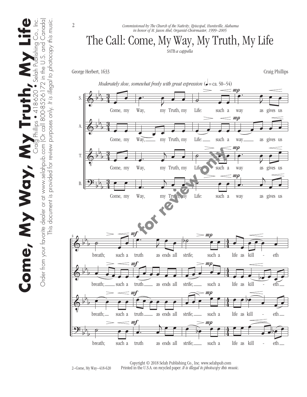$\begin{array}{|c|c|c|c|}\hline & \text{if } U & \text{if } D_{\mathcal{J}} & \text{if } U & \text{if } C \\ \hline \text{riling} & 418-620 & \text{Selch Publishing Co.}, \text{Inc.} \\ \text{coll } 800-852-6172 \text{ in the U.S.} \text{ and } \text{Canodal} \end{array}$ Order from your favorite dealer or at www.selahpub.com (Or call 800-852-6172 in the U.S. and Canada) Come, My Way, My Truth, My Life Come, My Vay, My Truth Order from your favorite dealer or at www.selahpub.com (Or

This document is provided for review purposes only. *It is illegal to photocopy this music.*

This document is provided for review purposes only. It is illegal to photocopy this music



Copyright © 2018 Selah Publishing Co., Inc. www.selahpub.com Printed in the U.S.A. on recycled paper. *It is illegal to photocopy this music.*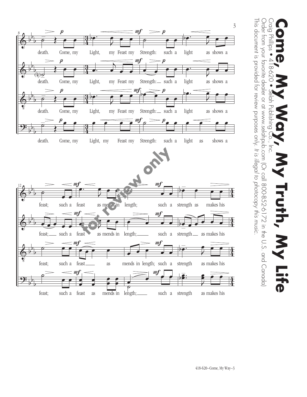

 $\sum_{i=1}^{n}$ Order from your favorite dealer or at www.selahpub.com (Or call 800-852-6172 in the U.S. and Canada) Order from your favorite dealer or at www.selahpub.com (Or call 800-852-6172 in the U.S. and Canada) **Come, My Way, Way, My Truth, My Life**  $\overline{5}$ 18-620  $\frac{Q}{T}$ **Publ** GJ  $\overline{5}$ **Truth,** D

This document is provided for review purposes only.

This document is provided for review purposes only. It is illegal to photocopy this music.

*It is illegal to photocopy this music.*